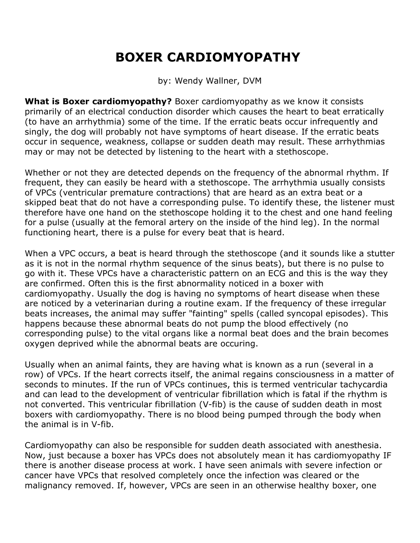## **BOXER CARDIOMYOPATHY**

by: Wendy Wallner, DVM

**What is Boxer cardiomyopathy?** Boxer cardiomyopathy as we know it consists primarily of an electrical conduction disorder which causes the heart to beat erratically (to have an arrhythmia) some of the time. If the erratic beats occur infrequently and singly, the dog will probably not have symptoms of heart disease. If the erratic beats occur in sequence, weakness, collapse or sudden death may result. These arrhythmias may or may not be detected by listening to the heart with a stethoscope.

Whether or not they are detected depends on the frequency of the abnormal rhythm. If frequent, they can easily be heard with a stethoscope. The arrhythmia usually consists of VPCs (ventricular premature contractions) that are heard as an extra beat or a skipped beat that do not have a corresponding pulse. To identify these, the listener must therefore have one hand on the stethoscope holding it to the chest and one hand feeling for a pulse (usually at the femoral artery on the inside of the hind leg). In the normal functioning heart, there is a pulse for every beat that is heard.

When a VPC occurs, a beat is heard through the stethoscope (and it sounds like a stutter as it is not in the normal rhythm sequence of the sinus beats), but there is no pulse to go with it. These VPCs have a characteristic pattern on an ECG and this is the way they are confirmed. Often this is the first abnormality noticed in a boxer with cardiomyopathy. Usually the dog is having no symptoms of heart disease when these are noticed by a veterinarian during a routine exam. If the frequency of these irregular beats increases, the animal may suffer "fainting" spells (called syncopal episodes). This happens because these abnormal beats do not pump the blood effectively (no corresponding pulse) to the vital organs like a normal beat does and the brain becomes oxygen deprived while the abnormal beats are occuring.

Usually when an animal faints, they are having what is known as a run (several in a row) of VPCs. If the heart corrects itself, the animal regains consciousness in a matter of seconds to minutes. If the run of VPCs continues, this is termed ventricular tachycardia and can lead to the development of ventricular fibrillation which is fatal if the rhythm is not converted. This ventricular fibrillation (V-fib) is the cause of sudden death in most boxers with cardiomyopathy. There is no blood being pumped through the body when the animal is in V-fib.

Cardiomyopathy can also be responsible for sudden death associated with anesthesia. Now, just because a boxer has VPCs does not absolutely mean it has cardiomyopathy IF there is another disease process at work. I have seen animals with severe infection or cancer have VPCs that resolved completely once the infection was cleared or the malignancy removed. If, however, VPCs are seen in an otherwise healthy boxer, one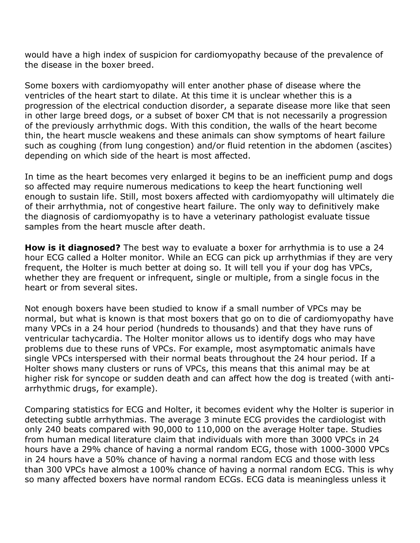would have a high index of suspicion for cardiomyopathy because of the prevalence of the disease in the boxer breed.

Some boxers with cardiomyopathy will enter another phase of disease where the ventricles of the heart start to dilate. At this time it is unclear whether this is a progression of the electrical conduction disorder, a separate disease more like that seen in other large breed dogs, or a subset of boxer CM that is not necessarily a progression of the previously arrhythmic dogs. With this condition, the walls of the heart become thin, the heart muscle weakens and these animals can show symptoms of heart failure such as coughing (from lung congestion) and/or fluid retention in the abdomen (ascites) depending on which side of the heart is most affected.

In time as the heart becomes very enlarged it begins to be an inefficient pump and dogs so affected may require numerous medications to keep the heart functioning well enough to sustain life. Still, most boxers affected with cardiomyopathy will ultimately die of their arrhythmia, not of congestive heart failure. The only way to definitively make the diagnosis of cardiomyopathy is to have a veterinary pathologist evaluate tissue samples from the heart muscle after death.

**How is it diagnosed?** The best way to evaluate a boxer for arrhythmia is to use a 24 hour ECG called a Holter monitor. While an ECG can pick up arrhythmias if they are very frequent, the Holter is much better at doing so. It will tell you if your dog has VPCs, whether they are frequent or infrequent, single or multiple, from a single focus in the heart or from several sites.

Not enough boxers have been studied to know if a small number of VPCs may be normal, but what is known is that most boxers that go on to die of cardiomyopathy have many VPCs in a 24 hour period (hundreds to thousands) and that they have runs of ventricular tachycardia. The Holter monitor allows us to identify dogs who may have problems due to these runs of VPCs. For example, most asymptomatic animals have single VPCs interspersed with their normal beats throughout the 24 hour period. If a Holter shows many clusters or runs of VPCs, this means that this animal may be at higher risk for syncope or sudden death and can affect how the dog is treated (with antiarrhythmic drugs, for example).

Comparing statistics for ECG and Holter, it becomes evident why the Holter is superior in detecting subtle arrhythmias. The average 3 minute ECG provides the cardiologist with only 240 beats compared with 90,000 to 110,000 on the average Holter tape. Studies from human medical literature claim that individuals with more than 3000 VPCs in 24 hours have a 29% chance of having a normal random ECG, those with 1000-3000 VPCs in 24 hours have a 50% chance of having a normal random ECG and those with less than 300 VPCs have almost a 100% chance of having a normal random ECG. This is why so many affected boxers have normal random ECGs. ECG data is meaningless unless it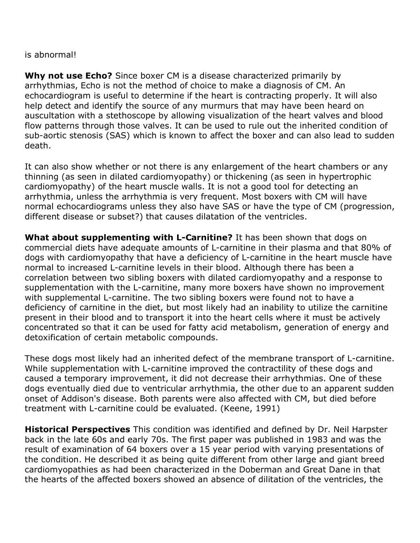## is abnormal!

**Why not use Echo?** Since boxer CM is a disease characterized primarily by arrhythmias, Echo is not the method of choice to make a diagnosis of CM. An echocardiogram is useful to determine if the heart is contracting properly. It will also help detect and identify the source of any murmurs that may have been heard on auscultation with a stethoscope by allowing visualization of the heart valves and blood flow patterns through those valves. It can be used to rule out the inherited condition of sub-aortic stenosis (SAS) which is known to affect the boxer and can also lead to sudden death.

It can also show whether or not there is any enlargement of the heart chambers or any thinning (as seen in dilated cardiomyopathy) or thickening (as seen in hypertrophic cardiomyopathy) of the heart muscle walls. It is not a good tool for detecting an arrhythmia, unless the arrhythmia is very frequent. Most boxers with CM will have normal echocardiograms unless they also have SAS or have the type of CM (progression, different disease or subset?) that causes dilatation of the ventricles.

**What about supplementing with L-Carnitine?** It has been shown that dogs on commercial diets have adequate amounts of L-carnitine in their plasma and that 80% of dogs with cardiomyopathy that have a deficiency of L-carnitine in the heart muscle have normal to increased L-carnitine levels in their blood. Although there has been a correlation between two sibling boxers with dilated cardiomyopathy and a response to supplementation with the L-carnitine, many more boxers have shown no improvement with supplemental L-carnitine. The two sibling boxers were found not to have a deficiency of carnitine in the diet, but most likely had an inability to utilize the carnitine present in their blood and to transport it into the heart cells where it must be actively concentrated so that it can be used for fatty acid metabolism, generation of energy and detoxification of certain metabolic compounds.

These dogs most likely had an inherited defect of the membrane transport of L-carnitine. While supplementation with L-carnitine improved the contractility of these dogs and caused a temporary improvement, it did not decrease their arrhythmias. One of these dogs eventually died due to ventricular arrhythmia, the other due to an apparent sudden onset of Addison's disease. Both parents were also affected with CM, but died before treatment with L-carnitine could be evaluated. (Keene, 1991)

**Historical Perspectives** This condition was identified and defined by Dr. Neil Harpster back in the late 60s and early 70s. The first paper was published in 1983 and was the result of examination of 64 boxers over a 15 year period with varying presentations of the condition. He described it as being quite different from other large and giant breed cardiomyopathies as had been characterized in the Doberman and Great Dane in that the hearts of the affected boxers showed an absence of dilitation of the ventricles, the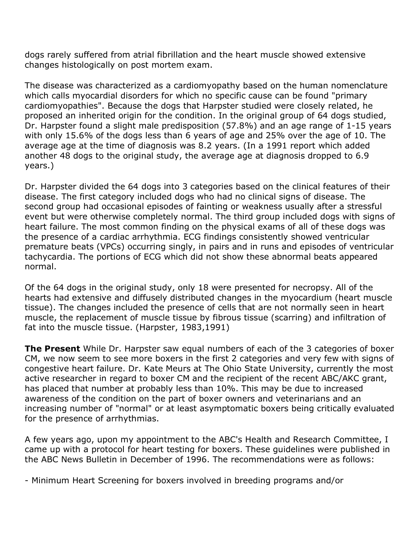dogs rarely suffered from atrial fibrillation and the heart muscle showed extensive changes histologically on post mortem exam.

The disease was characterized as a cardiomyopathy based on the human nomenclature which calls myocardial disorders for which no specific cause can be found "primary cardiomyopathies". Because the dogs that Harpster studied were closely related, he proposed an inherited origin for the condition. In the original group of 64 dogs studied, Dr. Harpster found a slight male predisposition (57.8%) and an age range of 1-15 years with only 15.6% of the dogs less than 6 years of age and 25% over the age of 10. The average age at the time of diagnosis was 8.2 years. (In a 1991 report which added another 48 dogs to the original study, the average age at diagnosis dropped to 6.9 years.)

Dr. Harpster divided the 64 dogs into 3 categories based on the clinical features of their disease. The first category included dogs who had no clinical signs of disease. The second group had occasional episodes of fainting or weakness usually after a stressful event but were otherwise completely normal. The third group included dogs with signs of heart failure. The most common finding on the physical exams of all of these dogs was the presence of a cardiac arrhythmia. ECG findings consistently showed ventricular premature beats (VPCs) occurring singly, in pairs and in runs and episodes of ventricular tachycardia. The portions of ECG which did not show these abnormal beats appeared normal.

Of the 64 dogs in the original study, only 18 were presented for necropsy. All of the hearts had extensive and diffusely distributed changes in the myocardium (heart muscle tissue). The changes included the presence of cells that are not normally seen in heart muscle, the replacement of muscle tissue by fibrous tissue (scarring) and infiltration of fat into the muscle tissue. (Harpster, 1983,1991)

**The Present** While Dr. Harpster saw equal numbers of each of the 3 categories of boxer CM, we now seem to see more boxers in the first 2 categories and very few with signs of congestive heart failure. Dr. Kate Meurs at The Ohio State University, currently the most active researcher in regard to boxer CM and the recipient of the recent ABC/AKC grant, has placed that number at probably less than 10%. This may be due to increased awareness of the condition on the part of boxer owners and veterinarians and an increasing number of "normal" or at least asymptomatic boxers being critically evaluated for the presence of arrhythmias.

A few years ago, upon my appointment to the ABC's Health and Research Committee, I came up with a protocol for heart testing for boxers. These guidelines were published in the ABC News Bulletin in December of 1996. The recommendations were as follows:

- Minimum Heart Screening for boxers involved in breeding programs and/or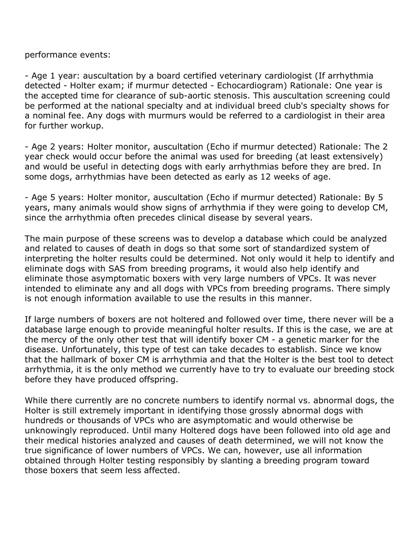performance events:

- Age 1 year: auscultation by a board certified veterinary cardiologist (If arrhythmia detected - Holter exam; if murmur detected - Echocardiogram) Rationale: One year is the accepted time for clearance of sub-aortic stenosis. This auscultation screening could be performed at the national specialty and at individual breed club's specialty shows for a nominal fee. Any dogs with murmurs would be referred to a cardiologist in their area for further workup.

- Age 2 years: Holter monitor, auscultation (Echo if murmur detected) Rationale: The 2 year check would occur before the animal was used for breeding (at least extensively) and would be useful in detecting dogs with early arrhythmias before they are bred. In some dogs, arrhythmias have been detected as early as 12 weeks of age.

- Age 5 years: Holter monitor, auscultation (Echo if murmur detected) Rationale: By 5 years, many animals would show signs of arrhythmia if they were going to develop CM, since the arrhythmia often precedes clinical disease by several years.

The main purpose of these screens was to develop a database which could be analyzed and related to causes of death in dogs so that some sort of standardized system of interpreting the holter results could be determined. Not only would it help to identify and eliminate dogs with SAS from breeding programs, it would also help identify and eliminate those asymptomatic boxers with very large numbers of VPCs. It was never intended to eliminate any and all dogs with VPCs from breeding programs. There simply is not enough information available to use the results in this manner.

If large numbers of boxers are not holtered and followed over time, there never will be a database large enough to provide meaningful holter results. If this is the case, we are at the mercy of the only other test that will identify boxer CM - a genetic marker for the disease. Unfortunately, this type of test can take decades to establish. Since we know that the hallmark of boxer CM is arrhythmia and that the Holter is the best tool to detect arrhythmia, it is the only method we currently have to try to evaluate our breeding stock before they have produced offspring.

While there currently are no concrete numbers to identify normal vs. abnormal dogs, the Holter is still extremely important in identifying those grossly abnormal dogs with hundreds or thousands of VPCs who are asymptomatic and would otherwise be unknowingly reproduced. Until many Holtered dogs have been followed into old age and their medical histories analyzed and causes of death determined, we will not know the true significance of lower numbers of VPCs. We can, however, use all information obtained through Holter testing responsibly by slanting a breeding program toward those boxers that seem less affected.